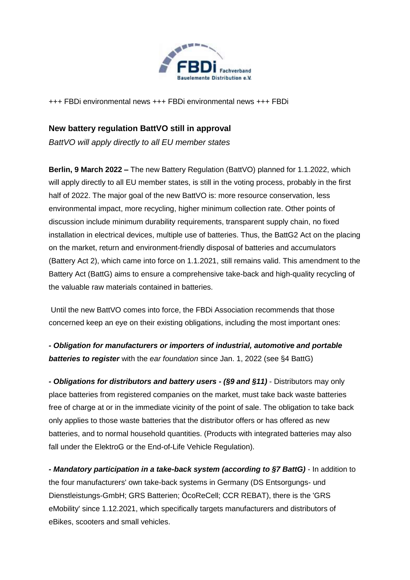

+++ FBDi environmental news +++ FBDi environmental news +++ FBDi

# **New battery regulation BattVO still in approval**

*BattVO will apply directly to all EU member states*

**Berlin, 9 March 2022 –** The new Battery Regulation (BattVO) planned for 1.1.2022, which will apply directly to all EU member states, is still in the voting process, probably in the first half of 2022. The major goal of the new BattVO is: more resource conservation, less environmental impact, more recycling, higher minimum collection rate. Other points of discussion include minimum durability requirements, transparent supply chain, no fixed installation in electrical devices, multiple use of batteries. Thus, the BattG2 Act on the placing on the market, return and environment-friendly disposal of batteries and accumulators (Battery Act 2), which came into force on 1.1.2021, still remains valid. This amendment to the Battery Act (BattG) aims to ensure a comprehensive take-back and high-quality recycling of the valuable raw materials contained in batteries.

Until the new BattVO comes into force, the FBDi Association recommends that those concerned keep an eye on their existing obligations, including the most important ones:

*- Obligation for manufacturers or importers of industrial, automotive and portable batteries to register* with the *ear foundation* since Jan. 1, 2022 (see §4 BattG)

*- Obligations for distributors and battery users - (§9 and §11)* - Distributors may only place batteries from registered companies on the market, must take back waste batteries free of charge at or in the immediate vicinity of the point of sale. The obligation to take back only applies to those waste batteries that the distributor offers or has offered as new batteries, and to normal household quantities. (Products with integrated batteries may also fall under the ElektroG or the End-of-Life Vehicle Regulation).

*- Mandatory participation in a take-back system (according to §7 BattG)* - In addition to the four manufacturers' own take-back systems in Germany (DS Entsorgungs- und Dienstleistungs-GmbH; GRS Batterien; ÖcoReCell; CCR REBAT), there is the 'GRS eMobility' since 1.12.2021, which specifically targets manufacturers and distributors of eBikes, scooters and small vehicles.